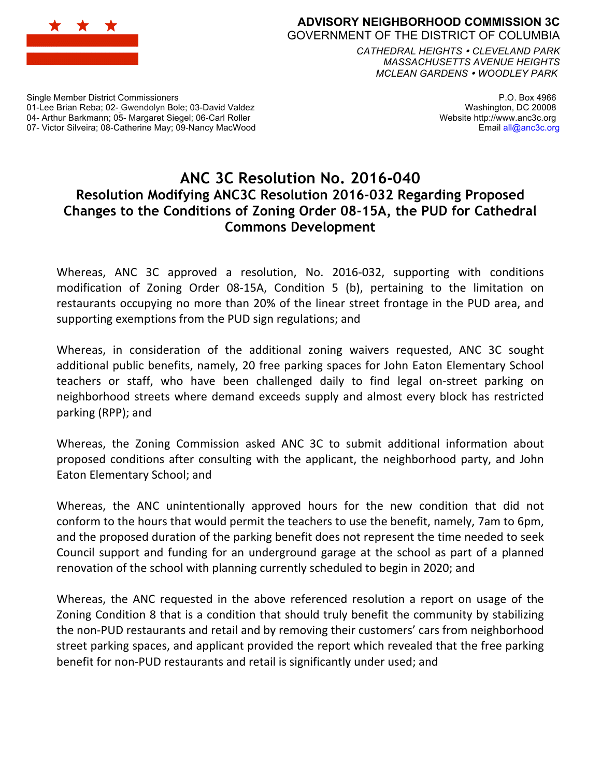

## **ADVISORY NEIGHBORHOOD COMMISSION 3C** GOVERNMENT OF THE DISTRICT OF COLUMBIA

*CATHEDRAL HEIGHTS CLEVELAND PARK MASSACHUSETTS AVENUE HEIGHTS MCLEAN GARDENS WOODLEY PARK*

Single Member District Commissioners 01-Lee Brian Reba; 02- Gwendolyn Bole; 03-David Valdez 04- Arthur Barkmann; 05- Margaret Siegel; 06-Carl Roller 07- Victor Silveira; 08-Catherine May; 09-Nancy MacWood

P.O. Box 4966 Washington, DC 20008 Website http://www.anc3c.org Email all@anc3c.org

## **ANC 3C Resolution No. 2016-040 Resolution Modifying ANC3C Resolution 2016-032 Regarding Proposed Changes to the Conditions of Zoning Order 08-15A, the PUD for Cathedral Commons Development**

Whereas, ANC 3C approved a resolution, No. 2016-032, supporting with conditions modification of Zoning Order 08-15A, Condition 5 (b), pertaining to the limitation on restaurants occupying no more than 20% of the linear street frontage in the PUD area, and supporting exemptions from the PUD sign regulations; and

Whereas, in consideration of the additional zoning waivers requested, ANC 3C sought additional public benefits, namely, 20 free parking spaces for John Eaton Elementary School teachers or staff, who have been challenged daily to find legal on-street parking on neighborhood streets where demand exceeds supply and almost every block has restricted parking (RPP); and

Whereas, the Zoning Commission asked ANC 3C to submit additional information about proposed conditions after consulting with the applicant, the neighborhood party, and John Eaton Elementary School; and

Whereas, the ANC unintentionally approved hours for the new condition that did not conform to the hours that would permit the teachers to use the benefit, namely, 7am to 6pm, and the proposed duration of the parking benefit does not represent the time needed to seek Council support and funding for an underground garage at the school as part of a planned renovation of the school with planning currently scheduled to begin in 2020; and

Whereas, the ANC requested in the above referenced resolution a report on usage of the Zoning Condition 8 that is a condition that should truly benefit the community by stabilizing the non-PUD restaurants and retail and by removing their customers' cars from neighborhood street parking spaces, and applicant provided the report which revealed that the free parking benefit for non-PUD restaurants and retail is significantly under used; and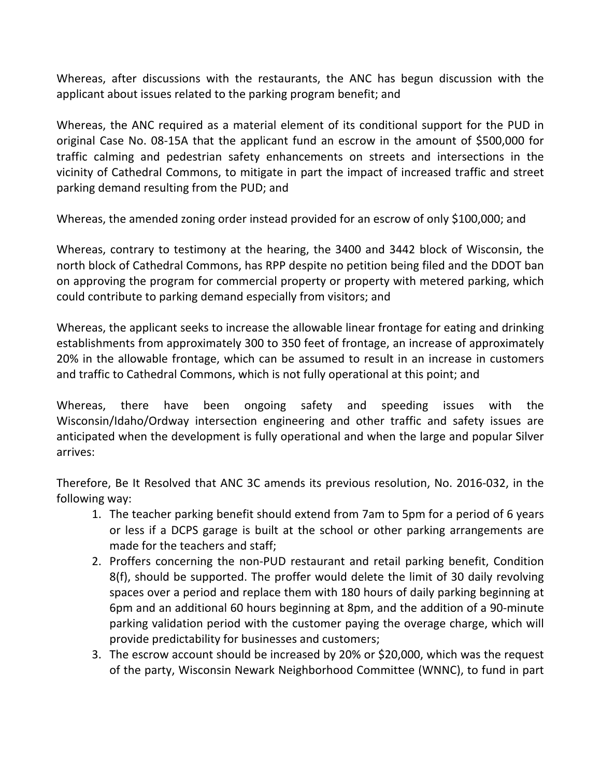Whereas, after discussions with the restaurants, the ANC has begun discussion with the applicant about issues related to the parking program benefit; and

Whereas, the ANC required as a material element of its conditional support for the PUD in original Case No. 08-15A that the applicant fund an escrow in the amount of \$500,000 for traffic calming and pedestrian safety enhancements on streets and intersections in the vicinity of Cathedral Commons, to mitigate in part the impact of increased traffic and street parking demand resulting from the PUD; and

Whereas, the amended zoning order instead provided for an escrow of only \$100,000; and

Whereas, contrary to testimony at the hearing, the 3400 and 3442 block of Wisconsin, the north block of Cathedral Commons, has RPP despite no petition being filed and the DDOT ban on approving the program for commercial property or property with metered parking, which could contribute to parking demand especially from visitors; and

Whereas, the applicant seeks to increase the allowable linear frontage for eating and drinking establishments from approximately 300 to 350 feet of frontage, an increase of approximately 20% in the allowable frontage, which can be assumed to result in an increase in customers and traffic to Cathedral Commons, which is not fully operational at this point; and

Whereas, there have been ongoing safety and speeding issues with the Wisconsin/Idaho/Ordway intersection engineering and other traffic and safety issues are anticipated when the development is fully operational and when the large and popular Silver arrives:

Therefore, Be It Resolved that ANC 3C amends its previous resolution, No. 2016-032, in the following way:

- 1. The teacher parking benefit should extend from 7am to 5pm for a period of 6 years or less if a DCPS garage is built at the school or other parking arrangements are made for the teachers and staff;
- 2. Proffers concerning the non-PUD restaurant and retail parking benefit, Condition 8(f), should be supported. The proffer would delete the limit of 30 daily revolving spaces over a period and replace them with 180 hours of daily parking beginning at 6pm and an additional 60 hours beginning at 8pm, and the addition of a 90-minute parking validation period with the customer paying the overage charge, which will provide predictability for businesses and customers;
- 3. The escrow account should be increased by 20% or \$20,000, which was the request of the party, Wisconsin Newark Neighborhood Committee (WNNC), to fund in part